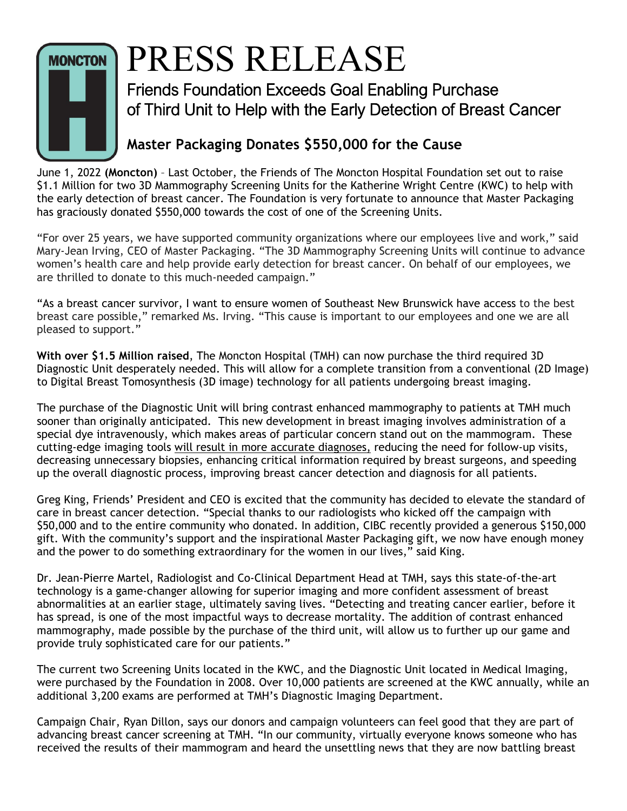

## PRESS RELEASE

Friends Foundation Exceeds Goal Enabling Purchase of Third Unit to Help with the Early Detection of Breast Cancer

## **Master Packaging Donates \$550,000 for the Cause**

June 1, 2022 **(Moncton)** – Last October, the Friends of The Moncton Hospital Foundation set out to raise \$1.1 Million for two 3D Mammography Screening Units for the Katherine Wright Centre (KWC) to help with the early detection of breast cancer. The Foundation is very fortunate to announce that Master Packaging has graciously donated \$550,000 towards the cost of one of the Screening Units.

"For over 25 years, we have supported community organizations where our employees live and work," said Mary-Jean Irving, CEO of Master Packaging. "The 3D Mammography Screening Units will continue to advance women's health care and help provide early detection for breast cancer. On behalf of our employees, we are thrilled to donate to this much-needed campaign."

"As a breast cancer survivor, I want to ensure women of Southeast New Brunswick have access to the best breast care possible," remarked Ms. Irving. "This cause is important to our employees and one we are all pleased to support."

**With over \$1.5 Million raised**, The Moncton Hospital (TMH) can now purchase the third required 3D Diagnostic Unit desperately needed. This will allow for a complete transition from a conventional (2D Image) to Digital Breast Tomosynthesis (3D image) technology for all patients undergoing breast imaging.

The purchase of the Diagnostic Unit will bring contrast enhanced mammography to patients at TMH much sooner than originally anticipated. This new development in breast imaging involves administration of a special dye intravenously, which makes areas of particular concern stand out on the mammogram. These cutting-edge imaging tools will result in more accurate diagnoses, reducing the need for follow-up visits, decreasing unnecessary biopsies, enhancing critical information required by breast surgeons, and speeding up the overall diagnostic process, improving breast cancer detection and diagnosis for all patients.

Greg King, Friends' President and CEO is excited that the community has decided to elevate the standard of care in breast cancer detection. "Special thanks to our radiologists who kicked off the campaign with \$50,000 and to the entire community who donated. In addition, CIBC recently provided a generous \$150,000 gift. With the community's support and the inspirational Master Packaging gift, we now have enough money and the power to do something extraordinary for the women in our lives," said King.

Dr. Jean-Pierre Martel, Radiologist and Co-Clinical Department Head at TMH, says this state-of-the-art technology is a game-changer allowing for superior imaging and more confident assessment of breast abnormalities at an earlier stage, ultimately saving lives. "Detecting and treating cancer earlier, before it has spread, is one of the most impactful ways to decrease mortality. The addition of contrast enhanced mammography, made possible by the purchase of the third unit, will allow us to further up our game and provide truly sophisticated care for our patients."

The current two Screening Units located in the KWC, and the Diagnostic Unit located in Medical Imaging, were purchased by the Foundation in 2008. Over 10,000 patients are screened at the KWC annually, while an additional 3,200 exams are performed at TMH's Diagnostic Imaging Department.

Campaign Chair, Ryan Dillon, says our donors and campaign volunteers can feel good that they are part of advancing breast cancer screening at TMH. "In our community, virtually everyone knows someone who has received the results of their mammogram and heard the unsettling news that they are now battling breast